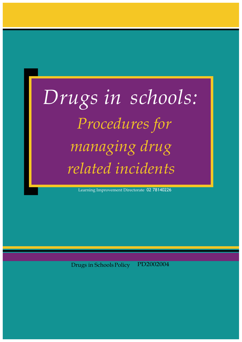# *Drugs in schools: Procedures for managing drug related incidents*

Learning Improvement Directorate 02 78140226

Drugs in SchoolsPolicy PD2002004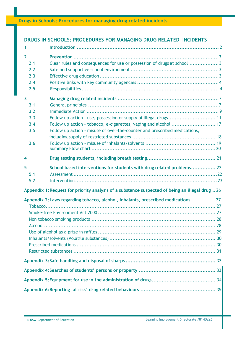**Drugs in Schools: Procedures for managing drug related incidents**

## **DRUGS IN SCHOOLS: PROCEDURES FOR MANAGING DRUG RELATED INCIDENTS**

| 1                       |                                                                                                |    |
|-------------------------|------------------------------------------------------------------------------------------------|----|
| $\overline{2}$          |                                                                                                |    |
| 2.1                     | Clear rules and consequences for use or possession of drugs at school 3                        |    |
| 2.2                     |                                                                                                |    |
| 2.3                     |                                                                                                |    |
| 2.4                     |                                                                                                |    |
| 2.5                     |                                                                                                |    |
| $\overline{\mathbf{3}}$ |                                                                                                |    |
| 3.1                     |                                                                                                |    |
| 3.2                     |                                                                                                |    |
| 3.3                     | Follow up action - use, possession or supply of illegal drugs 11                               |    |
| 3.4                     | Follow up action - tobacco, e-cigarettes, vaping and alcohol  17                               |    |
| 3.5                     | Follow up action - misuse of over-the-counter and prescribed medications,                      |    |
|                         |                                                                                                |    |
| 3.6                     |                                                                                                |    |
|                         |                                                                                                |    |
| 4                       |                                                                                                |    |
| 5                       | School based interventions for students with drug related problems 22                          |    |
| 5.1                     |                                                                                                |    |
| 5.2                     |                                                                                                |    |
|                         | Appendix 1: Request for priority analysis of a substance suspected of being an illegal drug 26 |    |
|                         | Appendix 2: Laws regarding tobacco, alcohol, inhalants, prescribed medications                 | 27 |
|                         |                                                                                                |    |
|                         |                                                                                                |    |
|                         |                                                                                                |    |
|                         |                                                                                                |    |
|                         |                                                                                                |    |
|                         |                                                                                                |    |
|                         |                                                                                                |    |
|                         |                                                                                                |    |
|                         |                                                                                                |    |
|                         |                                                                                                |    |
|                         |                                                                                                |    |
|                         |                                                                                                |    |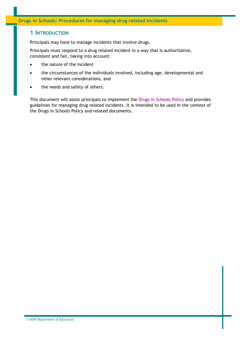## <span id="page-2-0"></span>**1 INTRODUCTION**

Principals may have to manage incidents that involve drugs.

Principals must respond to a drug related incident in a way that is authoritative, consistent and fair, taking into account:

- the nature of the incident
- the circumstances of the individuals involved, including age, developmental and other relevant considerations, and
- the needs and safety of others.

This document will assist principals to implement the [Drugs in Schools Policy a](https://policies.education.nsw.gov.au/policy-library/policies/drugs-in-schools-policy)nd provides guidelines for managing drug related incidents. It is intended to be used in the context of the Drugs in Schools Policy and related documents.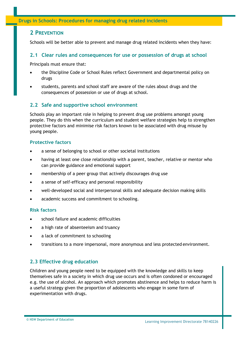## <span id="page-3-0"></span>**2 PREVENTION**

Schools will be better able to prevent and manage drug related incidents when they have:

## <span id="page-3-1"></span>**2.1 Clear rules and consequences for use or possession of drugs at school**

Principals must ensure that:

- the Discipline Code or School Rules reflect Government and departmental policy on drugs
- students, parents and school staff are aware of the rules about drugs and the consequences of possession or use of drugs at school.

## <span id="page-3-2"></span>**2.2 Safe and supportive school environment**

Schools play an important role in helping to prevent drug use problems amongst young people. They do this when the curriculum and student welfare strategies help to strengthen protective factors and minimise risk factors known to be associated with drug misuse by young people.

#### **Protective factors**

- a sense of belonging to school or other societal institutions
- having at least one close relationship with a parent, teacher, relative or mentor who can provide guidance and emotional support
- membership of a peer group that actively discourages drug use
- a sense of self-efficacy and personal responsibility
- well-developed social and interpersonal skills and adequate decision making skills
- academic success and commitment to schooling.

#### <span id="page-3-3"></span>**Risk factors**

- school failure and academic difficulties
- a high rate of absenteeism and truancy
- a lack of commitment to schooling
- transitions to a more impersonal, more anonymous and less protected environment.

## **2.3 Effective drug education**

Children and young people need to be equipped with the knowledge and skills to keep themselves safe in a society in which drug use occurs and is often condoned or encouraged e.g. the use of alcohol. An approach which promotes abstinence and helps to reduce harm is a useful strategy given the proportion of adolescents who engage in some form of experimentation with drugs.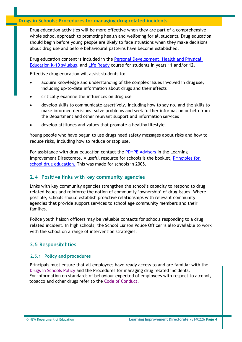## **Drugs in Schools: Procedures for managing drug related incidents**

Drug education activities will be more effective when they are part of a comprehensive whole school approach to promoting health and wellbeing for all students. Drug education should begin before young people are likely to face situations when they make decisions about drug use and before behavioural patterns have become established.

Drug education content is included in the [Personal Development, Health and Physical](https://educationstandards.nsw.edu.au/wps/portal/nesa/k-10/learning-areas/pdhpe/pdhpe-k-10-2018)  [Education K-10 syllabus](https://educationstandards.nsw.edu.au/wps/portal/nesa/k-10/learning-areas/pdhpe/pdhpe-k-10-2018)*,* and [Life Ready](https://education.nsw.gov.au/teaching-and-learning/curriculum/key-learning-areas/pdhpe/life-ready) course for students in years 11 and/or 12.

Effective drug education will assist students to:

- acquire knowledge and understanding of the complex issues involved in drug use, including up-to-date information about drugs and their effects
- critically examine the influences on drug use
- develop skills to communicate assertively, including how to say no, and the skills to make informed decisions, solve problems and seek further information or help from the Department and other relevant support and information services
- develop attitudes and values that promote a healthy lifestyle.

Young people who have begun to use drugs need safety messages about risks and how to reduce risks, including how to reduce or stop use.

<span id="page-4-0"></span>For assistance with drug education contact the [PDHPE Advisors](https://education.nsw.gov.au/teaching-and-learning/curriculum/key-learning-areas/pdhpe/further-information#Contact0) in the Learning Improvement Directorate. A useful resource for schools is the booklet, [Principles for](https://www.sdera.wa.edu.au/media/1324/princschooldruged_full-document.pdf)  [school drug education.](https://www.sdera.wa.edu.au/media/1324/princschooldruged_full-document.pdf) This was made for schools in 2005.

## **2.4 Positive links with key community agencies**

Links with key community agencies strengthen the school's capacity to respond to drug related issues and reinforce the notion of community 'ownership' of drug issues. Where possible, schools should establish proactive relationships with relevant community agencies that provide support services to school age community members and their families.

Police youth liaison officers may be valuable contacts for schools responding to a drug related incident. In high schools, the School Liaison Police Officer is also available to work with the school on a range of intervention strategies.

## <span id="page-4-1"></span>**2.5 Responsibilities**

## **2.5.1 Policy and procedures**

Principals must ensure that all employees have ready access to and are familiar with the [Drugs in Schools Policy a](https://policies.education.nsw.gov.au/policy-library/policies/drugs-in-schools-policy)nd the Procedures for managing drug related incidents. For information on standards of behaviour expected of employees with respect to alcohol, tobacco and other drugs refer to the [Code of Conduct.](https://education.nsw.gov.au/about-us/rights-and-accountability/department-of-education-code-of-conduct)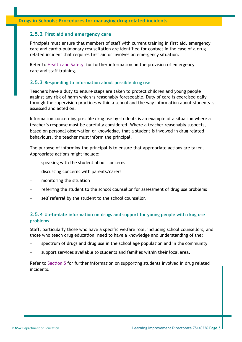#### **2.5.2 First aid and emergency care**

Principals must ensure that members of staff with current training in first aid, emergency care and cardio-pulmonary resuscitation are identified for contact in the case of a drug related incident that requires first aid or involves an emergency situation.

Refer to [Health and Safety f](https://education.nsw.gov.au/inside-the-department/health-and-safety)or further information on the provision of emergency care and staff training.

#### **2.5.3 Responding to information about possible drug use**

Teachers have a duty to ensure steps are taken to protect children and young people against any risk of harm which is reasonably foreseeable. Duty of care is exercised daily through the supervision practices within a school and the way information about students is assessed and acted on.

Information concerning possible drug use by students is an example of a situation where a teacher's response must be carefully considered. Where a teacher reasonably suspects, based on personal observation or knowledge, that a student is involved in drug related behaviours, the teacher must inform the principal.

The purpose of informing the principal is to ensure that appropriate actions are taken. Appropriate actions might include:

- speaking with the student about concerns
- − discussing concerns with parents/carers
- monitoring the situation
- referring the student to the school counsellor for assessment of drug use problems
- self referral by the student to the school counsellor.

## **2.5.4 Up-to-date information on drugs and support for young people with drug use problems**

Staff, particularly those who have a specific welfare role, including school counsellors, and those who teach drug education, need to have a knowledge and understanding of the:

- spectrum of drugs and drug use in the school age population and in the community
- support services available to students and families within their local area.

Refer to [Section 5 f](#page-22-0)or further information on supporting students involved in drug related incidents.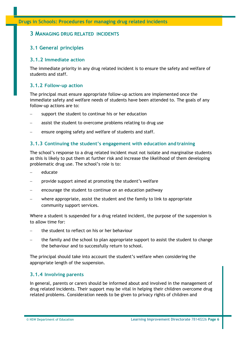## <span id="page-6-0"></span>**3 MANAGING DRUG RELATED INCIDENTS**

## <span id="page-6-1"></span>**3.1 General principles**

#### **3.1.2 Immediate action**

The immediate priority in any drug related incident is to ensure the safety and welfare of students and staff.

## **3.1.2 Follow-up action**

The principal must ensure appropriate follow-up actions are implemented once the immediate safety and welfare needs of students have been attended to. The goals of any follow-up actions are to:

- support the student to continue his or her education
- assist the student to overcome problems relating to drug use
- ensure ongoing safety and welfare of students and staff.

## **3.1.3 Continuing the student's engagement with education and training**

The school's response to a drug related incident must not isolate and marginalise students as this is likely to put them at further risk and increase the likelihood of them developing problematic drug use. The school's role is to:

- − educate
- provide support aimed at promoting the student's welfare
- encourage the student to continue on an education pathway
- − where appropriate, assist the student and the family to link to appropriate community support services.

Where a student is suspended for a drug related incident, the purpose of the suspension is to allow time for:

- − the student to reflect on his or her behaviour
- the family and the school to plan appropriate support to assist the student to change the behaviour and to successfully return to school.

The principal should take into account the student's welfare when considering the appropriate length of the suspension.

## **3.1.4 Involving parents**

In general, parents or carers should be informed about and involved in the management of drug related incidents. Their support may be vital in helping their children overcome drug related problems. Consideration needs to be given to privacy rights of children and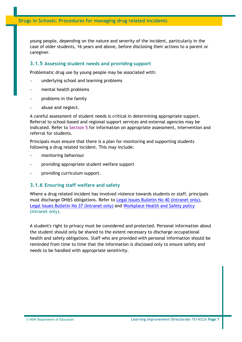young people, depending on the nature and severity of the incident, particularly in the case of older students, 16 years and above, before disclosing their actions to a parent or caregiver.

#### **3.1.5 Assessing student needs and providing support**

Problematic drug use by young people may be associated with:

- underlying school and learning problems
- − mental health problems
- problems in the family
- abuse and neglect.

A careful assessment of student needs is critical in determining appropriate support. Referral to school-based and regional support services and external agencies may be indicated. Refer to [Section 5 f](#page-22-0)or information on appropriate assessment, intervention and referral for students.

Principals must ensure that there is a plan for monitoring and supporting students following a drug related incident. This may include:

- − monitoring behaviour
- providing appropriate student welfare support
- − providing curriculum support.

#### **3.1.6 Ensuring staff welfare and safety**

Where a drug related incident has involved violence towards students or staff, principals must discharge OH&S obligations. Refer to [Legal Issues Bulletin No 40 \(Intranet only\),](https://education.nsw.gov.au/about-us/rights-and-accountability/legal-issues-bulletins) [Legal Issues Bulletin No 37 \(Intranet only\)](https://education.nsw.gov.au/about-us/rights-and-accountability/legal-issues-bulletins) and [Workplace Health and Safety policy](https://policies.education.nsw.gov.au/policy-library/policies/work-health-and-safety-whs-policy?refid=285835) (Intranet only).

A student's right to privacy must be considered and protected. Personal information about the student should only be shared to the extent necessary to discharge occupational health and safety obligations. Staff who are provided with personal information should be reminded from time to time that the information is disclosed only to ensure safety and needs to be handled with appropriate sensitivity.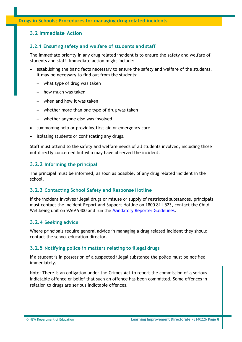## <span id="page-8-0"></span>**3.2 Immediate Action**

#### **3.2.1 Ensuring safety and welfare of students and staff**

The immediate priority in any drug related incident is to ensure the safety and welfare of students and staff. Immediate action might include:

- establishing the basic facts necessary to ensure the safety and welfare of the students. It may be necessary to find out from the students:
	- − what type of drug was taken
	- − how much was taken
	- − when and how it was taken
	- − whether more than one type of drug was taken
	- − whether anyone else was involved
- summoning help or providing first aid or emergency care
- isolating students or confiscating any drugs.

Staff must attend to the safety and welfare needs of all students involved, including those not directly concerned but who may have observed the incident.

#### **3.2.2 Informing the principal**

The principal must be informed, as soon as possible, of any drug related incident in the school.

#### **3.2.3 Contacting School Safety and Response Hotline**

If the incident involves illegal drugs or misuse or supply of restricted substances, principals must contact the Incident Report and Support Hotline on 1800 811 523, contact the Child Wellbeing unit on 9269 9400 and run the [Mandatory Reporter Guidelines.](https://reporter.childstory.nsw.gov.au/s/mrg)

#### **3.2.4 Seeking advice**

Where principals require general advice in managing a drug related incident they should contact the school education director.

#### **3.2.5 Notifying police in matters relating to illegal drugs**

If a student is in possession of a suspected illegal substance the police must be notified immediately.

Note: There is an obligation under the Crimes Act to report the commission of a serious indictable offence or belief that such an offence has been committed. Some offences in relation to drugs are serious indictable offences.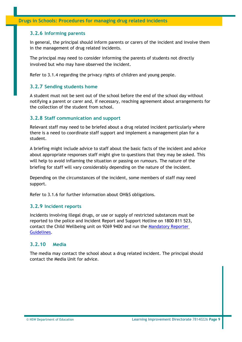## **3.2.6 Informing parents**

In general, the principal should inform parents or carers of the incident and involve them in the management of drug related incidents.

The principal may need to consider informing the parents of students not directly involved but who may have observed the incident.

Refer to 3.1.4 regarding the privacy rights of children and young people.

## **3.2.7 Sending students home**

A student must not be sent out of the school before the end of the school day without notifying a parent or carer and, if necessary, reaching agreement about arrangements for the collection of the student from school.

#### **3.2.8 Staff communication and support**

Relevant staff may need to be briefed about a drug related incident particularly where there is a need to coordinate staff support and implement a management plan for a student.

A briefing might include advice to staff about the basic facts of the incident and advice about appropriate responses staff might give to questions that they may be asked. This will help to avoid inflaming the situation or passing on rumours. The nature of the briefing for staff will vary considerably depending on the nature of the incident.

Depending on the circumstances of the incident, some members of staff may need support.

Refer to 3.1.6 for further information about OH&S obligations.

#### **3.2.9 Incident reports**

Incidents involving illegal drugs, or use or supply of restricted substances must be reported to the police and Incident Report and Support Hotline on 1800 811 523, contact the Child Wellbeing unit on 9269 9400 and run the [Mandatory Reporter](https://reporter.childstory.nsw.gov.au/s/mrg)  [Guidelines.](https://reporter.childstory.nsw.gov.au/s/mrg)

## **3.2.10 Media**

The media may contact the school about a drug related incident. The principal should contact the Media Unit for advice.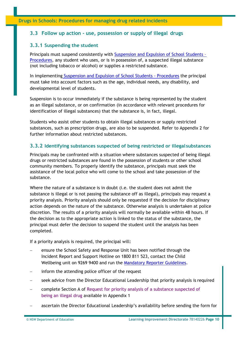## <span id="page-10-0"></span>**3.3 Follow up action - use, possession or supply of illegal drugs**

## **3.3.1 Suspending the student**

Principals must suspend consistently with [Suspension and Expulsion of School Students –](https://policies.education.nsw.gov.au/policy-library/policies/student-discipline-in-government-schools-policy/suspol_07.pdf) [Procedures,](https://policies.education.nsw.gov.au/policy-library/policies/student-discipline-in-government-schools-policy/suspol_07.pdf) any student who uses, or is in possession of, a suspected illegal substance (not including tobacco or alcohol) or supplies a restricted substance.

In implementing [Suspension and Expulsion of School Students -](https://policies.education.nsw.gov.au/policy-library/policies/student-discipline-in-government-schools-policy/suspol_07.pdf) Procedures the principal must take into account factors such as the age, individual needs, any disability, and developmental level of students.

Suspension is to occur immediately if the substance is being represented by the student as an illegal substance, or on confirmation (in accordance with relevant procedures for identification of illegal substances) that the substance is, in fact, illegal.

Students who assist other students to obtain illegal substances or supply restricted substances, such as prescription drugs, are also to be suspended. Refer to Appendix 2 for further information about restricted substances.

## **3.3.2 Identifying substances suspected of being restricted or illegalsubstances**

Principals may be confronted with a situation where substances suspected of being illegal drugs or restricted substances are found in the possession of students or other school community members. To properly identify the substance, principals must seek the assistance of the local police who will come to the school and take possession of the substance.

Where the nature of a substance is in doubt (i.e. the student does not admit the substance is illegal or is not passing the substance off as illegal), principals may request a priority analysis. Priority analysis should only be requested if the decision for disciplinary action depends on the nature of the substance. Otherwise analysis is undertaken at police discretion. The results of a priority analysis will normally be available within 48 hours. If the decision as to the appropriate action is linked to the status of the substance, the principal must defer the decision to suspend the student until the analysis has been completed.

If a priority analysis is required, the principal will:

- ensure the School Safety and Response Unit has been notified through the Incident Report and Support Hotline on 1800 811 523, contact the Child Wellbeing unit on 9269 9400 and run the [Mandatory Reporter Guidelines.](https://reporter.childstory.nsw.gov.au/s/mrg)
- inform the attending police officer of the request
- seek advice from the Director Educational Leadership that priority analysis is required
- − complete Section A of [Request for priority analysis of a substance suspected of](#page-26-0) [being an illegal drug a](#page-26-0)vailable in Appendix 1
- ascertain the Director Educational Leadership's availability before sending the form for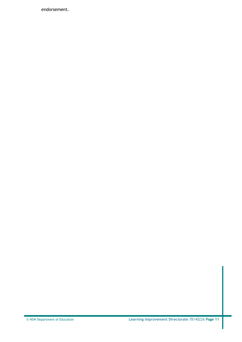endorsement.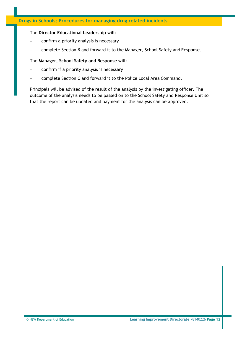#### The **Director Educational Leadership** will:

- − confirm a priority analysis is necessary
- − complete Section B and forward it to the Manager, School Safety and Response.

#### The **Manager, School Safety and Response** will:

- confirm if a priority analysis is necessary
- − complete Section C and forward it to the Police Local Area Command.

Principals will be advised of the result of the analysis by the investigating officer. The outcome of the analysis needs to be passed on to the School Safety and Response Unit so that the report can be updated and payment for the analysis can be approved.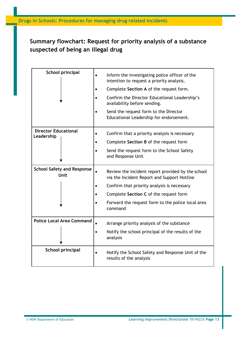# **Summary flowchart: Request for priority analysis of a substance suspected of being an illegal drug**

| School principal                          | Inform the investigating police officer of the<br>$\bullet$<br>intention to request a priority analysis.<br>Complete Section A of the request form.<br>Confirm the Director Educational Leadership's<br>availability before sending.<br>Send the request form to the Director<br>Educational Leadership for endorsement. |
|-------------------------------------------|--------------------------------------------------------------------------------------------------------------------------------------------------------------------------------------------------------------------------------------------------------------------------------------------------------------------------|
| <b>Director Educational</b><br>Leadership | Confirm that a priority analysis is necessary<br>$\bullet$<br>Complete Section B of the request form<br>Send the request form to the School Safety<br>$\bullet$<br>and Response Unit                                                                                                                                     |
| <b>School Safety and Response</b><br>Unit | Review the incident report provided by the school<br>$\bullet$<br>via the Incident Report and Support Hotline<br>Confirm that priority analysis is necessary<br>Complete Section C of the request form<br>Forward the request form to the police local area<br>command                                                   |
| <b>Police Local Area Command</b>          | Arrange priority analysis of the substance<br>Notify the school principal of the results of the<br>$\bullet$<br>analysis                                                                                                                                                                                                 |
| School principal                          | Notify the School Safety and Response Unit of the<br>$\bullet$<br>results of the analysis                                                                                                                                                                                                                                |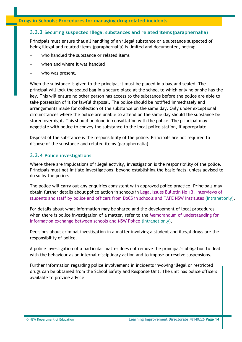## **3.3.3 Securing suspected illegal substances and related items (paraphernalia)**

Principals must ensure that all handling of an illegal substance or a substance suspected of being illegal and related items (paraphernalia) is limited and documented, noting:

- who handled the substance or related items
- − when and where it was handled
- who was present.

When the substance is given to the principal it must be placed in a bag and sealed. The principal will lock the sealed bag in a secure place at the school to which only he or she has the key. This will ensure no other person has access to the substance before the police are able to take possession of it for lawful disposal. The police should be notified immediately and arrangements made for collection of the substance on the same day. Only under exceptional circumstances where the police are unable to attend on the same day should the substance be stored overnight. This should be done in consultation with the police. The principal may negotiate with police to convey the substance to the local police station, if appropriate.

Disposal of the substance is the responsibility of the police. Principals are not required to dispose of the substance and related items (paraphernalia).

## **3.3.4 Police investigations**

Where there are implications of illegal activity, investigation is the responsibility of the police. Principals must not initiate investigations, beyond establishing the basic facts, unless advised to do so by the police.

The police will carry out any enquiries consistent with approved police practice. Principals may obtain further details about police action in schools in [Legal Issues Bulletin No 13, Interviews of](https://detwww.det.nsw.edu.au/media/downloads/directoratesaz/legalservices/ls/legalissuesbul/bulletin13.pdf) [students and staff by police and officers from DoCS in schools and TAFE NSW Institutes \(](https://education.nsw.gov.au/about-us/rights-and-accountability/legal-issues-bulletins)Intranetonly).

For details about what information may be shared and the development of local procedures when there is police investigation of a matter, refer to the [Memorandum of understanding for](https://detwww.det.nsw.edu.au/media/downloads/intranet/lists/directoratesaz/safetysecurity/yr2008/mou.pdf) [information exchange between schools and NSW Police \(](https://detwww.det.nsw.edu.au/media/downloads/intranet/lists/directoratesaz/safetysecurity/yr2008/mou.pdf)Intranet only).

Decisions about criminal investigation in a matter involving a student and illegal drugs are the responsibility of police.

A police investigation of a particular matter does not remove the principal's obligation to deal with the behaviour as an internal disciplinary action and to impose or resolve suspensions.

Further information regarding police involvement in incidents involving illegal or restricted drugs can be obtained from the School Safety and Response Unit. The unit has police officers available to provide advice.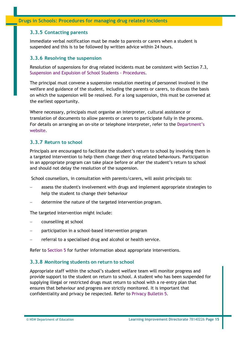#### **3.3.5 Contacting parents**

Immediate verbal notification must be made to parents or carers when a student is suspended and this is to be followed by written advice within 24 hours.

#### **3.3.6 Resolving the suspension**

Resolution of suspensions for drug related incidents must be consistent with Section 7.3, [Suspension and Expulsion of School Students -](https://www.det.nsw.edu.au/policies/student_serv/discipline/stu_discip_gov/suspol_07.pdf) Procedures.

The principal must convene a suspension resolution meeting of personnel involved in the welfare and guidance of the student, including the parents or carers, to discuss the basis on which the suspension will be resolved. For a long suspension, this must be convened at the earliest opportunity.

Where necessary, principals must organise an interpreter, cultural assistance or translation of documents to allow parents or carers to participate fully in the process. For details on arranging an on-site or telephone interpreter, refer to the [Department's](https://education.nsw.gov.au/teaching-and-learning/curriculum/multicultural-education/interpreting-and-translations) [website.](http://www.schools.nsw.edu.au/adminsupport/intertranslate.php)

## **3.3.7 Return to school**

Principals are encouraged to facilitate the student's return to school by involving them in a targeted intervention to help them change their drug related behaviours. Participation in an appropriate program can take place before or after the student's return to school and should not delay the resolution of the suspension.

School counsellors, in consultation with parents/carers, will assist principals to:

- assess the student's involvement with drugs and implement appropriate strategies to help the student to change their behaviour
- determine the nature of the targeted intervention program.

The targeted intervention might include:

- − counselling at school
- − participation in a school-based intervention program
- referral to a specialised drug and alcohol or health service.

Refer to Section 5 for further information about appropriate interventions.

#### **3.3.8 Monitoring students on return to school**

Appropriate staff within the school's student welfare team will monitor progress and provide support to the student on return to school. A student who has been suspended for supplying illegal or restricted drugs must return to school with a re-entry plan that ensures that behaviour and progress are strictly monitored. It is important that confidentiality and privacy be respected. Refer to [Privacy Bulletin](https://detwww.det.nsw.edu.au/media/downloads/directoratesaz/legalservices/ls/privacy/bulletins/bulletin5.pdf) 5.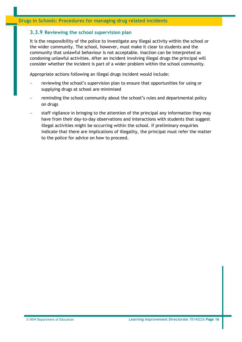## **3.3.9 Reviewing the school supervision plan**

It is the responsibility of the police to investigate any illegal activity within the school or the wider community. The school, however, must make it clear to students and the community that unlawful behaviour is not acceptable. Inaction can be interpreted as condoning unlawful activities. After an incident involving illegal drugs the principal will consider whether the incident is part of a wider problem within the school community.

Appropriate actions following an illegal drugs incident would include:

- − reviewing the school's supervision plan to ensure that opportunities for using or supplying drugs at school are minimised
- reminding the school community about the school's rules and departmental policy on drugs
- staff vigilance in bringing to the attention of the principal any information they may have from their day-to-day observations and interactions with students that suggest illegal activities might be occurring within the school. If preliminary enquiries indicate that there are implications of illegality, the principal must refer the matter to the police for advice on how to proceed.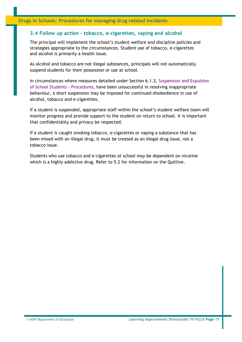## <span id="page-17-0"></span>**3.4 Follow up action – tobacco, e-cigarettes, vaping and alcohol**

The principal will implement the school's student welfare and discipline policies and strategies appropriate to the circumstances. Student use of tobacco, e-cigarettes and alcohol is primarily a health issue.

As alcohol and tobacco are not illegal substances, principals will not automatically suspend students for their possession or use at school.

In circumstances where measures detailed under Section 6.1.3, [Suspension and Expulsion](https://www.det.nsw.edu.au/policies/student_serv/discipline/stu_discip_gov/suspol_07.pdf) [of School Students -](https://www.det.nsw.edu.au/policies/student_serv/discipline/stu_discip_gov/suspol_07.pdf) Procedures, have been unsuccessful in resolving inappropriate behaviour, a short suspension may be imposed for continued disobedience in use of alcohol, tobacco and e-cigarettes.

If a student is suspended, appropriate staff within the school's student welfare team will monitor progress and provide support to the student on return to school. It is important that confidentiality and privacy be respected.

If a student is caught smoking tobacco, e-cigarettes or vaping a substance that has been mixed with an illegal drug, it must be treated as an illegal drug issue, not a tobacco issue.

Students who use tobacco and e-cigarettes at school may be dependent on nicotine which is a highly addictive drug. Refer to 5.2 for information on the Quitline.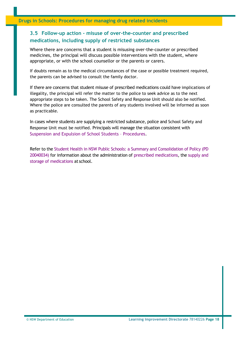## <span id="page-18-0"></span>**3.5 Follow-up action - misuse of over-the-counter and prescribed medications, including supply of restricted substances**

Where there are concerns that a student is misusing over-the-counter or prescribed medicines, the principal will discuss possible interventions with the student, where appropriate, or with the school counsellor or the parents or carers.

If doubts remain as to the medical circumstances of the case or possible treatment required, the parents can be advised to consult the family doctor.

If there are concerns that student misuse of prescribed medications could have implications of illegality, the principal will refer the matter to the police to seek advice as to the next appropriate steps to be taken. The School Safety and Response Unit should also be notified. Where the police are consulted the parents of any students involved will be informed as soon as practicable.

In cases where students are supplying a restricted substance, police and School Safety and Response Unit must be notified. Principals will manage the situation consistent with [Suspension and Expulsion of School Students –](https://www.det.nsw.edu.au/policies/student_serv/discipline/stu_discip_gov/suspol_07.pdf) Procedures.

Refer to the Student Health in NSW Public Schools: a Summary and [Consolidation](https://policies.education.nsw.gov.au/policy-library/policy-groups/whs-and-wellbeing?refid=285789) of Policy (PD [20040034\)](https://www.det.nsw.edu.au/policies/student_serv/student_health/student_health/PD20040034.shtml?level) for information about the administration of prescribed [medications,](http://www.schools.nsw.edu.au/studentsupport/studenthealth/individualstud/adminmedicine/index.php) the [supply](http://www.schools.nsw.edu.au/studentsupport/studenthealth/individualstud/adminmedicine/supplystomed/index.php) and [storage of medications a](http://www.schools.nsw.edu.au/studentsupport/studenthealth/individualstud/adminmedicine/supplystomed/index.php)t school.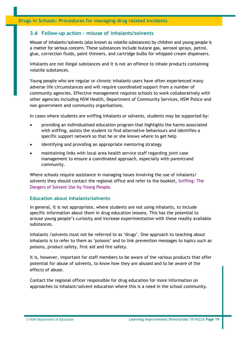## <span id="page-19-0"></span>**3.6 Follow-up action - misuse of inhalants/solvents**

Misuse of inhalants/solvents (also known as volatile substances) by children and young people is a matter for serious concern. These substances include butane gas, aerosol sprays, petrol, glue, correction fluids, paint thinners, and cartridge bulbs for whipped cream dispensers.

Inhalants are not illegal substances and it is not an offence to inhale products containing volatile substances.

Young people who are regular or chronic inhalants users have often experienced many adverse life circumstances and will require coordinated support from a number of community agencies. Effective management requires schools to work collaboratively with other agencies including NSW Health, Department of Community Services, NSW Police and non government and community organisations.

In cases where students are sniffing inhalants or solvents, students may be supported by:

- providing an individualised education program that highlights the harms associated with sniffing, assists the student to find alternative behaviours and identifies a specific support network so that he or she knows where to get help
- identifying and providing an appropriate mentoring strategy
- maintaining links with local area health service staff regarding joint case management to ensure a coordinated approach, especially with parentsand community.

Where schools require assistance in managing issues involving the use of inhalants/ solvents they should contact the regional office and refer to the booklet, [Sniffing: The](http://www.schools.nsw.edu.au/media/downloads/schoolsdrug/learning/yrk12focusareas/druged/snifsolvents.pdf) [Dangers of Solvent Use by Young People](http://www.schools.nsw.edu.au/media/downloads/schoolsdrug/learning/yrk12focusareas/druged/snifsolvents.pdf)*.*

#### **Education about inhalants/solvents**

In general, it is not appropriate, where students are not using inhalants, to include specific information about them in drug education lessons. This has the potential to arouse young people's curiosity and increase experimentation with these readily available substances.

Inhalants /solvents must not be referred to as 'drugs'. One approach to teaching about inhalants is to refer to them as 'poisons' and to link prevention messages to topics such as poisons, product safety, first aid and fire safety.

It is, however, important for staff members to be aware of the various products that offer potential for abuse of solvents, to know how they are abused and to be aware of the effects of abuse.

Contact the regional officer responsible for drug education for more information on approaches to inhalant/solvent education where this is a need in the school community.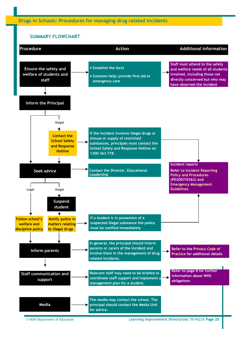#### **SUMMARY FLOWCHART**

<span id="page-20-0"></span>

© NSW Department of Education **Learning Improvement Directorate** 78140226 **Page 20**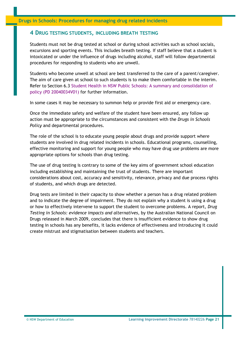## <span id="page-21-0"></span>**4 DRUG TESTING STUDENTS, INCLUDING BREATH TESTING**

Students must not be drug tested at school or during school activities such as school socials, excursions and sporting events. This includes breath testing. If staff believe that a student is intoxicated or under the influence of drugs including alcohol, staff will follow departmental procedures for responding to students who are unwell.

Students who become unwell at school are best transferred to the care of a parent/caregiver. The aim of care given at school to such students is to make them comfortable in the interim. Refer to Section 6.3 [Student Health in NSW Public Schools: A summary and consolidation of](https://policies.education.nsw.gov.au/policy-library/policy-groups/whs-and-wellbeing?refid=285789) [policy \(PD 20040034V01\) f](https://www.det.nsw.edu.au/policies/student_serv/student_health/student_health/PD20040034.shtml?level)or further information.

In some cases it may be necessary to summon help or provide first aid or emergency care.

Once the immediate safety and welfare of the student have been ensured, any follow up action must be appropriate to the circumstances and consistent with the *Drugs in Schools Policy* and departmental procedures.

The role of the school is to educate young people about drugs and provide support where students are involved in drug related incidents in schools. Educational programs, counselling, effective monitoring and support for young people who may have drug use problems are more appropriate options for schools than drug testing.

The use of drug testing is contrary to some of the key aims of government school education including establishing and maintaining the trust of students. There are important considerations about cost, accuracy and sensitivity, relevance, privacy and due process rights of students, and which drugs are detected.

Drug tests are limited in their capacity to show whether a person has a drug related problem and to indicate the degree of impairment. They do not explain why a student is using a drug or how to effectively intervene to support the student to overcome problems. A report, *Drug Testing in Schools: evidence impacts and alternatives*, by the Australian National Council on Drugs released in March 2009, concludes that there is insufficient evidence to show drug testing in schools has any benefits, it lacks evidence of effectiveness and introducing it could create mistrust and stigmatisation between students and teachers.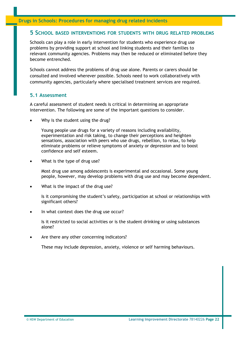## <span id="page-22-0"></span>**5 SCHOOL BASED INTERVENTIONS FOR STUDENTS WITH DRUG RELATED PROBLEMS**

Schools can play a role in early intervention for students who experience drug use problems by providing support at school and linking students and their families to relevant community agencies. Problems may then be reduced or eliminated before they become entrenched.

Schools cannot address the problems of drug use alone. Parents or carers should be consulted and involved wherever possible. Schools need to work collaboratively with community agencies, particularly where specialised treatment services are required.

#### <span id="page-22-1"></span>**5.1 Assessment**

A careful assessment of student needs is critical in determining an appropriate intervention. The following are some of the important questions to consider.

Why is the student using the drug?

Young people use drugs for a variety of reasons including availability, experimentation and risk taking, to change their perceptions and heighten sensations, association with peers who use drugs, rebellion, to relax, to help eliminate problems or relieve symptoms of anxiety or depression and to boost confidence and self esteem.

What is the type of drug use?

Most drug use among adolescents is experimental and occasional. Some young people, however, may develop problems with drug use and may become dependent.

What is the impact of the drug use?

Is it compromising the student's safety, participation at school or relationships with significant others?

In what context does the drug use occur?

Is it restricted to social activities or is the student drinking or using substances alone?

Are there any other concerning indicators?

These may include depression, anxiety, violence or self harming behaviours.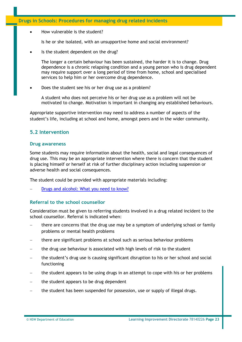#### **Drugs in Schools: Procedures for managing drug related incidents**

How vulnerable is the student?

Is he or she isolated, with an unsupportive home and social environment?

Is the student dependent on the drug?

The longer a certain behaviour has been sustained, the harder it is to change. Drug dependence is a chronic relapsing condition and a young person who is drug dependent may require support over a long period of time from home, school and specialised services to help him or her overcome drug dependence.

Does the student see his or her drug use as a problem?

A student who does not perceive his or her drug use as a problem will not be motivated to change. Motivation is important in changing any established behaviours.

Appropriate supportive intervention may need to address a number of aspects of the student's life, including at school and home, amongst peers and in the wider community.

## <span id="page-23-0"></span>**5.2 Intervention**

#### **Drug awareness**

Some students may require information about the health, social and legal consequences of drug use. This may be an appropriate intervention where there is concern that the student is placing himself or herself at risk of further disciplinary action including suspension or adverse health and social consequences.

The student could be provided with appropriate materials including:

[Drugs and alcohol: What you need to know?](https://positivechoices.org.au/documents/zIFrmBcLeo/drug-education-student-booklet/)

## **Referral to the school counsellor**

Consideration must be given to referring students involved in a drug related incident to the school counsellor. Referral is indicated when:

- there are concerns that the drug use may be a symptom of underlying school or family problems or mental health problems
- − there are significant problems at school such as serious behaviour problems
- the drug use behaviour is associated with high levels of risk to the student
- the student's drug use is causing significant disruption to his or her school and social functioning
- the student appears to be using drugs in an attempt to cope with his or her problems
- the student appears to be drug dependent
- the student has been suspended for possession, use or supply of illegal drugs.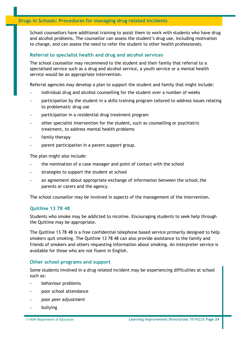School counsellors have additional training to assist them to work with students who have drug and alcohol problems. The counsellor can assess the student's drug use, including motivation to change, and can assess the need to refer the student to other health professionals.

#### **Referral to specialist health and drug and alcohol services**

The school counsellor may recommend to the student and their family that referral to a specialised service such as a drug and alcohol service, a youth service or a mental health service would be an appropriate intervention.

Referral agencies may develop a plan to support the student and family that might include:

- individual drug and alcohol counselling for the student over a number of weeks
- participation by the student in a skills training program tailored to address issues relating to problematic drug use
- − participation in a residential drug treatment program
- − other specialist intervention for the student, such as counselling or psychiatric treatment, to address mental health problems
- family therapy
- parent participation in a parent support group.

The plan might also include:

- − the nomination of a case manager and point of contact with the school
- strategies to support the student at school
- an agreement about appropriate exchange of information between the school, the parents or carers and the agency.

The school counsellor may be involved in aspects of the management of the intervention.

#### **Quitline 13 78 48**

Students who smoke may be addicted to nicotine. Encouraging students to seek help through the Quitline may be appropriate.

The Quitline 13 78 48 is a free confidential telephone based service primarily designed to help smokers quit smoking. The Quitline 13 78 48 can also provide assistance to the family and friends of smokers and others requesting information about smoking. An interpreter service is available for those who are not fluent in English.

#### **Other school programs and support**

Some students involved in a drug related incident may be experiencing difficulties at school such as:

- − behaviour problems
- − poor school attendance
- − poor peer adjustment
- − bullying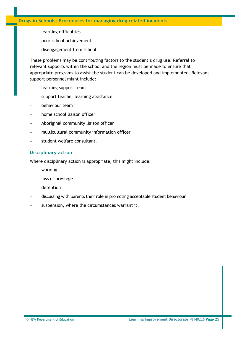#### **Drugs in Schools: Procedures for managing drug related incidents**

- − learning difficulties
- poor school achievement
- − disengagement from school.

These problems may be contributing factors to the student's drug use. Referral to relevant supports within the school and the region must be made to ensure that appropriate programs to assist the student can be developed and implemented. Relevant support personnel might include:

- − learning support team
- support teacher learning assistance
- − behaviour team
- − home school liaison officer
- − Aboriginal community liaison officer
- − multicultural community information officer
- student welfare consultant.

## **Disciplinary action**

Where disciplinary action is appropriate, this might include:

- − warning
- loss of privilege
- − detention
- − discussing with parents their role in promoting acceptable student behaviour
- suspension, where the circumstances warrant it.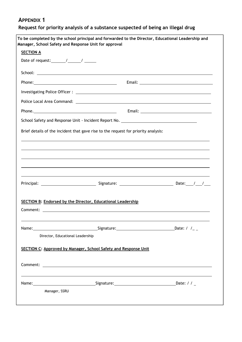<span id="page-26-0"></span>**Request for priority analysis of a substance suspected of being an illegal drug**

|                                                                 | Manager, School Safety and Response Unit for approval                                                                                                                                                                                |  |  |  |
|-----------------------------------------------------------------|--------------------------------------------------------------------------------------------------------------------------------------------------------------------------------------------------------------------------------------|--|--|--|
| <b>SECTION A</b>                                                |                                                                                                                                                                                                                                      |  |  |  |
| Date of request: $\frac{1}{\sqrt{2\pi}}$ / ________ / _________ |                                                                                                                                                                                                                                      |  |  |  |
|                                                                 | School: <u>Andreas Andreas Andreas Andreas Andreas Andreas Andreas Andreas Andreas Andreas Andreas Andreas Andreas Andreas Andreas Andreas Andreas Andreas Andreas Andreas Andreas Andreas Andreas Andreas Andreas Andreas Andre</u> |  |  |  |
|                                                                 |                                                                                                                                                                                                                                      |  |  |  |
|                                                                 |                                                                                                                                                                                                                                      |  |  |  |
|                                                                 |                                                                                                                                                                                                                                      |  |  |  |
|                                                                 |                                                                                                                                                                                                                                      |  |  |  |
|                                                                 | School Safety and Response Unit - Incident Report No. __________________________                                                                                                                                                     |  |  |  |
|                                                                 | Brief details of the incident that gave rise to the request for priority analysis:                                                                                                                                                   |  |  |  |
|                                                                 |                                                                                                                                                                                                                                      |  |  |  |
|                                                                 |                                                                                                                                                                                                                                      |  |  |  |
|                                                                 |                                                                                                                                                                                                                                      |  |  |  |
|                                                                 |                                                                                                                                                                                                                                      |  |  |  |
|                                                                 |                                                                                                                                                                                                                                      |  |  |  |
|                                                                 |                                                                                                                                                                                                                                      |  |  |  |
|                                                                 |                                                                                                                                                                                                                                      |  |  |  |
|                                                                 |                                                                                                                                                                                                                                      |  |  |  |
|                                                                 |                                                                                                                                                                                                                                      |  |  |  |
|                                                                 |                                                                                                                                                                                                                                      |  |  |  |
|                                                                 | SECTION B: Endorsed by the Director, Educational Leadership                                                                                                                                                                          |  |  |  |
|                                                                 |                                                                                                                                                                                                                                      |  |  |  |
|                                                                 |                                                                                                                                                                                                                                      |  |  |  |
|                                                                 |                                                                                                                                                                                                                                      |  |  |  |
|                                                                 |                                                                                                                                                                                                                                      |  |  |  |
|                                                                 |                                                                                                                                                                                                                                      |  |  |  |
| Director, Educational Leadership                                |                                                                                                                                                                                                                                      |  |  |  |
|                                                                 |                                                                                                                                                                                                                                      |  |  |  |
|                                                                 | SECTION C: Approved by Manager, School Safety and Response Unit                                                                                                                                                                      |  |  |  |
|                                                                 |                                                                                                                                                                                                                                      |  |  |  |
|                                                                 |                                                                                                                                                                                                                                      |  |  |  |
|                                                                 | <u> 1990 - Jan Samuel Barbara, martin da shekara ta 1991 - An tsara tsa a shekara tsa a tsa a tsa a tsa a tsa a t</u>                                                                                                                |  |  |  |
|                                                                 | Name:___________________________________Signature:_________________________________Date: / / _                                                                                                                                       |  |  |  |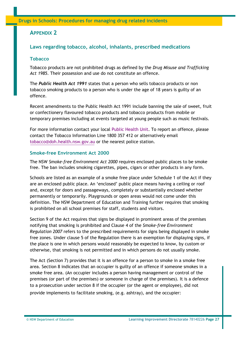<span id="page-27-0"></span>**Drugs in Schools: Procedures for managing drug related incidents**

## **APPENDIX 2**

## <span id="page-27-1"></span>**Laws regarding tobacco, alcohol, inhalants, prescribed medications**

#### **Tobacco**

Tobacco products are not prohibited drugs as defined by the *Drug Misuse and Trafficking Act 1985.* Their possession and use do not constitute an offence.

The *Public Health Act 1991* states that a person who sells tobacco products or non tobacco smoking products to a person who is under the age of 18 years is guilty of an offence.

Recent amendments to the Public Health Act 1991 include banning the sale of sweet, fruit or confectionery flavoured tobacco products and tobacco products from mobile or temporary premises including at events targeted at young people such as music festivals.

<span id="page-27-2"></span>For more information contact your local [Public Health Unit.](http://www.health.nsw.gov.au/publichealth/Infectious/phus.asp) To report an offence, please contact the Tobacco Information Line 1800 357 412 or alternatively email [tobacco@doh.health.nsw.gov.au o](mailto:tobacco@doh.health.nsw.gov.au)r the nearest police station.

#### **Smoke-free Environment Act 2000**

The NSW *Smoke-free Environment Act 2000* requires enclosed public places to be smoke free. The ban includes smoking cigarettes, pipes, cigars or other products in any form.

Schools are listed as an example of a smoke free place under Schedule 1 of the Act if they are an enclosed public place. An 'enclosed' public place means having a ceiling or roof and, except for doors and passageways, completely or substantially enclosed whether permanently or temporarily. Playgrounds or open areas would not come under this definition. The NSW Department of Education and Training further requires that smoking is prohibited on all school premises for staff, students and visitors.

Section 9 of the Act requires that signs be displayed in prominent areas of the premises notifying that smoking is prohibited and Clause 4 of the *Smoke-free Environment Regulation 2007* refers to the prescribed requirements for signs being displayed in smoke free zones. Under clause 5 of the Regulation there is an exemption for displaying signs, if the place is one in which persons would reasonably be expected to know, by custom or otherwise, that smoking is not permitted and in which persons do not usually smoke.

provide implements to facilitate smoking, (e.g. ashtray), and the occupier: The Act (Section 7) provides that it is an offence for a person to smoke in a smoke free area. Section 8 indicates that an occupier is guilty of an offence if someone smokes in a smoke free area. (An occupier includes a person having management or control of the premises (or part of the premises) or someone in charge of the premises). It is a defence to a prosecution under section 8 if the occupier (or the agent or employee), did not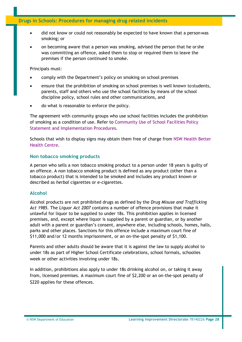## **Drugs in Schools: Procedures for managing drug related incidents**

- did not know or could not reasonably be expected to have known that a person was smoking; or
- on becoming aware that a person was smoking, advised the person that he or she was committing an offence, asked them to stop or required them to leave the premises if the person continued to smoke.

Principals must:

- comply with the Department's policy on smoking on school premises
- ensure that the prohibition of smoking on school premises is well known tostudents, parents, staff and others who use the school facilities by means of the school discipline policy, school rules and other communications, and
- do what is reasonable to enforce the policy.

The agreement with community groups who use school facilities includes the prohibition of smoking as a condition of use. Refer to [Community Use of School Facilities Policy](https://www.det.nsw.edu.au/policies/administrative/facilities/comm_use/implementation_3_PD20090400.shtml?level) [Statement and Implementation Procedures](https://www.det.nsw.edu.au/policies/administrative/facilities/comm_use/implementation_3_PD20090400.shtml?level)*.*

Schools that wish to display signs may obtain them free of charge from [NSW Health Better](http://www.health.nsw.gov.au/health-public-affairs/bhc/bhc.html) [Health Centre.](http://www.health.nsw.gov.au/health-public-affairs/bhc/bhc.html)

#### <span id="page-28-0"></span>**Non tobacco smoking products**

A person who sells a non tobacco smoking product to a person under 18 years is guilty of an offence. A non tobacco smoking product is defined as any product (other than a tobacco product) that is intended to be smoked and includes any product known or described as *herbal* cigarettes or e-cigarettes.

## <span id="page-28-1"></span>**Alcohol**

Alcohol products are not prohibited drugs as defined by the *Drug Misuse and Trafficking Act 1985.* The *Liquor Act 2007* contains a number of offence provisions that make it unlawful for liquor to be supplied to under 18s. This prohibition applies in licensed premises, and, except where liquor is supplied by a parent or guardian, or by another adult with a parent or guardian's consent, anywhere else, including schools, homes, halls, parks and other places. Sanctions for this offence include a maximum court fine of \$11,000 and/or 12 months imprisonment, or an on-the-spot penalty of \$1,100.

Parents and other adults should be aware that it is against the law to supply alcohol to under 18s as part of Higher School Certificate celebrations, school formals, schoolies week or other activities involving under 18s.

\$220 applies for these offences. In addition, prohibitions also apply to under 18s drinking alcohol on, or taking it away from, licensed premises. A maximum court fine of \$2,200 or an on-the-spot penalty of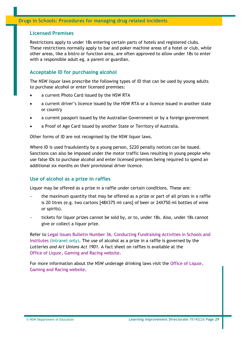## **Licensed Premises**

Restrictions apply to under 18s entering certain parts of hotels and registered clubs. These restrictions normally apply to bar and poker machine areas of a hotel or club, while other areas, like a bistro or function area, are often approved to allow under 18s to enter with a responsible adult eg. a parent or guardian.

## **Acceptable ID for purchasing alcohol**

The NSW liquor laws prescribe the following types of ID that can be used by young adults to purchase alcohol or enter licensed premises:

- a current Photo Card issued by the NSW RTA
- a current driver's licence issued by the NSW RTA or a licence issued in another state or country
- a current passport issued by the Australian Government or by a foreign government
- a Proof of Age Card issued by another State or Territory of Australia.

Other forms of ID are not recognised by the NSW liquor laws.

Where ID is used fraudulently by a young person, \$220 penalty notices can be issued. Sanctions can also be imposed under the motor traffic laws resulting in young people who use false IDs to purchase alcohol and enter licensed premises being required to spend an additional six months on their provisional driver licence.

## <span id="page-29-0"></span>**Use of alcohol as a prize in raffles**

Liquor may be offered as a prize in a raffle under certain conditions. These are:

- the maximum quantity that may be offered as a prize or part of all prizes in a raffle is 20 litres (e.g. two cartons [48X375 ml cans] of beer or 24X750 ml bottles of wine or spirits).
- − tickets for liquor prizes cannot be sold by, or to, under 18s. Also, under 18s cannot give or collect a liquor prize.

Refer to Legal Issues [Bulletin Number 36, Conducting Fundraising Activities in Schools and](https://detwww.det.nsw.edu.au/media/downloads/directoratesaz/legalservices/ls/legalissuesbul/bulletin36.pdf) [Institutes \(](https://detwww.det.nsw.edu.au/media/downloads/directoratesaz/legalservices/ls/legalissuesbul/bulletin36.pdf)Intranet only). The use of alcohol as a prize in a raffle is governed by the *Lotteries and Art Unions Act 1901.* A fact sheet on raffles is available at the [Office of Liquor, Gaming and Racing website.](http://www.olgr.nsw.gov.au/olgr_default.asp)

For more information about the NSW underage drinking laws visit the [Office of Liquor,](http://www.olgr.nsw.gov.au/olgr_default.asp) [Gaming and Racing website.](http://www.olgr.nsw.gov.au/olgr_default.asp)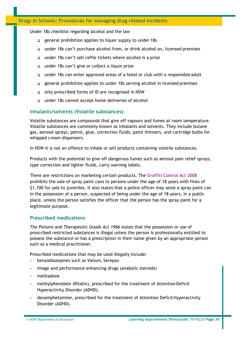Under 18s checklist regarding alcohol and the law

- general prohibition applies to liquor supply to under 18s
- under 18s can't purchase alcohol from, or drink alcohol on, licensed premises
- □ under 18s can't sell raffle tickets where alcohol is a prize
- under 18s can't give or collect a liquor prize
- under 18s can enter approved areas of a hotel or club with a responsible adult
- general prohibition applies to under 18s serving alcohol in licensed premises
- only prescribed forms of ID are recognised in NSW
- under 18s cannot accept home deliveries of alcohol

#### <span id="page-30-0"></span>**Inhalants/solvents (Volatile substances)**

Volatile substances are compounds that give off vapours and fumes at room temperature. Volatile substances are commonly known as inhalants and solvents. They include butane gas, aerosol sprays, petrol, glue, correction fluids, paint thinners, and cartridge bulbs for whipped cream dispensers.

In NSW it is not an offence to inhale or sell products containing volatile substances.

Products with the potential to give off dangerous fumes such as aerosol pain relief sprays, type correction and lighter fluids, carry warning labels.

There are restrictions on marketing certain products. The [Graffiti Control Act 2008](http://www.legislation.nsw.gov.au/xref/inforce/?xref=Type%3Dact%20AND%20Year%3D2008%20AND%20no%3D100&nohits=y) prohibits the sale of spray paint cans to persons under the age of 18 years with fines of \$1,100 for sale to juveniles. It also states that a police officer may seize a spray paint can in the possession of a person, suspected of being under the age of 18 years, in a public place, unless the person satisfies the officer that the person has the spray paint for a legitimate purpose.

#### <span id="page-30-1"></span>**Prescribed medications**

*The Poisons and Therapeutic Goods Act 1966* states that the possession or use of prescribed restricted substances is illegal unless the person is professionally entitled to possess the substance or has a prescription in their name given by an appropriate person such as a medical practitioner.

Prescribed medications that may be used illegally include:

- benzodiazepines such as Valium, Serepax
- image and performance enhancing drugs (anabolic steroids)
- methadone
- methylphenidate (Ritalin), prescribed for the treatment of AttentionDeficit Hyperactivity Disorder (ADHD).
- dexamphetamine, prescribed for the treatment of Attention Deficit Hyperactivity Disorder (ADHD).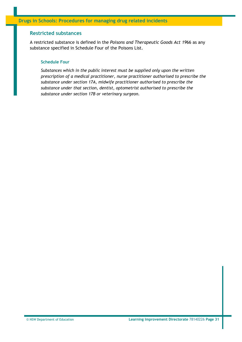#### <span id="page-31-0"></span>**Restricted substances**

A restricted substance is defined in the *Poisons and Therapeutic Goods Act 19*66 as any substance specified in Schedule Four of the Poisons List.

#### **Schedule Four**

*Substances which in the public interest must be supplied only upon the written prescription of a medical practitioner, nurse practitioner authorised to prescribe the substance under section 17A, midwife practitioner authorised to prescribe the substance under that section, dentist, optometrist authorised to prescribe the substance under section 17B or veterinary surgeon.*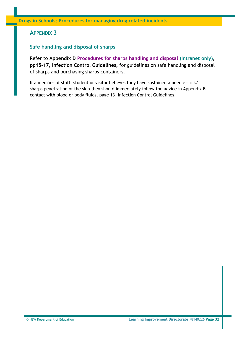## <span id="page-32-0"></span>**Safe handling and disposal of sharps**

Refer to **Appendix D [Procedures for sharps handling and disposal \(](https://detwww.det.nsw.edu.au/media/downloads/detoh_s/adminandmanage/ohands/safeworklearn/injury_manage/infection/infguidev4.pdf)Intranet only), pp15-17**, **Infection Control Guidelines,** for guidelines on safe handling and disposal of sharps and purchasing sharps containers.

If a member of staff, student or visitor believes they have sustained a needle stick/ sharps penetration of the skin they should immediately follow the advice in Appendix B contact with blood or body fluids, page 13, Infection Control Guidelines.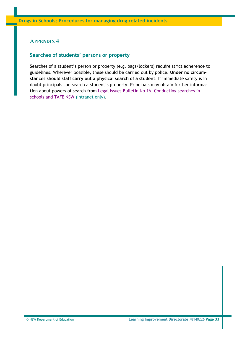## <span id="page-33-0"></span>**Searches of students' persons or property**

Searches of a student's person or property (e.g. bags/lockers) require strict adherence to guidelines. Wherever possible, these should be carried out by police. **Under no circumstances should staff carry out a physical search of a student**. If immediate safety is in doubt principals can search a student's property. Principals may obtain further information about powers of search from [Legal Issues Bulletin No 16, Conducting searches in](https://detwww.det.nsw.edu.au/media/downloads/directoratesaz/legalservices/ls/legalissuesbul/bulletin16.pdf) [schools and TAFE NSW \(](https://detwww.det.nsw.edu.au/media/downloads/directoratesaz/legalservices/ls/legalissuesbul/bulletin16.pdf)Intranet only).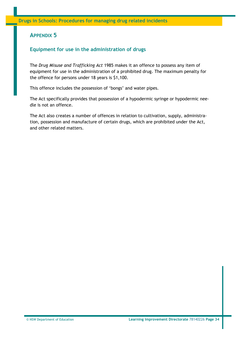## <span id="page-34-0"></span>**Equipment for use in the administration of drugs**

The *Drug Misuse and Trafficking Act* 1985 makes it an offence to possess any item of equipment for use in the administration of a prohibited drug. The maximum penalty for the offence for persons under 18 years is \$1,100.

This offence includes the possession of 'bongs' and water pipes.

The Act specifically provides that possession of a hypodermic syringe or hypodermic needle is not an offence.

The Act also creates a number of offences in relation to cultivation, supply, administration, possession and manufacture of certain drugs, which are prohibited under the Act, and other related matters.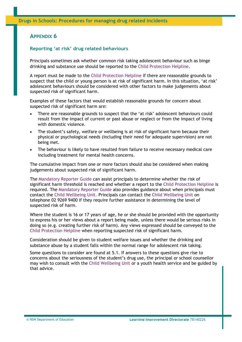#### <span id="page-35-0"></span>**Reporting 'at risk' drug related behaviours**

Principals sometimes ask whether common risk taking adolescent behaviour such as binge drinking and substance use should be reported to the [Child Protection Helpline.](http://www.community.nsw.gov.au/preventing_child_abuse_and_neglect/reporting_suspected_abuse_or_neglect.html)

A report must be made to the [Child Protection Helpline i](http://www.community.nsw.gov.au/preventing_child_abuse_and_neglect/reporting_suspected_abuse_or_neglect.html)f there are reasonable grounds to suspect that the child or young person is at risk of significant harm. In this situation, 'at risk' adolescent behaviours should be considered with other factors to make judgements about suspected risk of significant harm.

Examples of these factors that would establish reasonable grounds for concern about suspected risk of significant harm are:

- There are reasonable grounds to suspect that the 'at risk' adolescent behaviours could result from the impact of current or past abuse or neglect or from the impact of living with domestic violence.
- The student's safety, welfare or wellbeing is at risk of significant harm because their physical or psychological needs (including their need for adequate supervision) are not being met.
- The behaviour is likely to have resulted from failure to receive necessary medical care including treatment for mental health concerns.

The cumulative impact from one or more factors should also be considered when making judgements about suspected risk of significant harm.

The [Mandatory Reporter Guide c](http://sdm.community.nsw.gov.au/mrg/app/summary.page)an assist principals to determine whether the risk of significant harm threshold is reached and whether a report to the [Child Protection Helpline i](http://www.community.nsw.gov.au/preventing_child_abuse_and_neglect/reporting_suspected_abuse_or_neglect.html)s required. The [Mandatory Reporter Guide a](http://sdm.community.nsw.gov.au/mrg/app/summary.page)lso provides guidance about when principals must contact the [Child Wellbeing Unit.](http://www.community.nsw.gov.au/preventing_child_abuse_and_neglect/reporting_suspected_abuse_or_neglect.html) Principals can contact the [Child Wellbeing Unit o](http://www.community.nsw.gov.au/preventing_child_abuse_and_neglect/reporting_suspected_abuse_or_neglect.html)n telephone 02 9269 9400 if they require further assistance in determining the level of suspected risk of harm.

Where the student is 16 or 17 years of age, he or she should be provided with the opportunity to express his or her views about a report being made, unless there would be serious risks in doing so (e.g. creating further risk of harm). Any views expressed should be conveyed to the [Child Protection Helpline w](http://www.community.nsw.gov.au/preventing_child_abuse_and_neglect/reporting_suspected_abuse_or_neglect.html)hen reporting suspected risk of significant harm.

Consideration should be given to student welfare issues and whether the drinking and substance abuse by a student falls within the normal range for adolescent risk taking.

Some questions to consider are found at 5.1. If answers to these questions give rise to concerns about the seriousness of the student's drug use, the principal or school counsellor may wish to consult with the [Child Wellbeing Unit o](http://www.community.nsw.gov.au/preventing_child_abuse_and_neglect/reporting_suspected_abuse_or_neglect.html)r a youth health service and be guided by that advice.